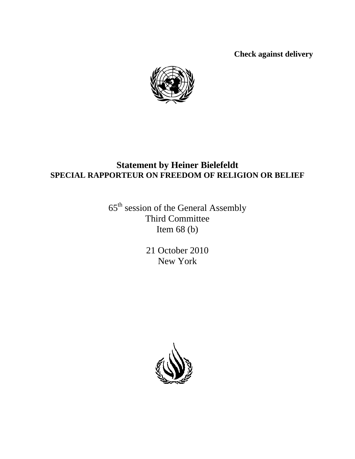**Check against delivery** 



## **Statement by Heiner Bielefeldt SPECIAL RAPPORTEUR ON FREEDOM OF RELIGION OR BELIEF**

65th session of the General Assembly Third Committee Item  $68$  (b)

> 21 October 2010 New York

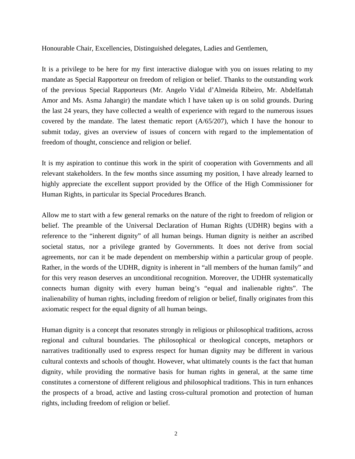Honourable Chair, Excellencies, Distinguished delegates, Ladies and Gentlemen,

It is a privilege to be here for my first interactive dialogue with you on issues relating to my mandate as Special Rapporteur on freedom of religion or belief. Thanks to the outstanding work of the previous Special Rapporteurs (Mr. Angelo Vidal d'Almeida Ribeiro, Mr. Abdelfattah Amor and Ms. Asma Jahangir) the mandate which I have taken up is on solid grounds. During the last 24 years, they have collected a wealth of experience with regard to the numerous issues covered by the mandate. The latest thematic report  $(A/65/207)$ , which I have the honour to submit today, gives an overview of issues of concern with regard to the implementation of freedom of thought, conscience and religion or belief.

It is my aspiration to continue this work in the spirit of cooperation with Governments and all relevant stakeholders. In the few months since assuming my position, I have already learned to highly appreciate the excellent support provided by the Office of the High Commissioner for Human Rights, in particular its Special Procedures Branch.

Allow me to start with a few general remarks on the nature of the right to freedom of religion or belief. The preamble of the Universal Declaration of Human Rights (UDHR) begins with a reference to the "inherent dignity" of all human beings. Human dignity is neither an ascribed societal status, nor a privilege granted by Governments. It does not derive from social agreements, nor can it be made dependent on membership within a particular group of people. Rather, in the words of the UDHR, dignity is inherent in "all members of the human family" and for this very reason deserves an unconditional recognition. Moreover, the UDHR systematically connects human dignity with every human being's "equal and inalienable rights". The inalienability of human rights, including freedom of religion or belief, finally originates from this axiomatic respect for the equal dignity of all human beings.

Human dignity is a concept that resonates strongly in religious or philosophical traditions, across regional and cultural boundaries. The philosophical or theological concepts, metaphors or narratives traditionally used to express respect for human dignity may be different in various cultural contexts and schools of thought. However, what ultimately counts is the fact that human dignity, while providing the normative basis for human rights in general, at the same time constitutes a cornerstone of different religious and philosophical traditions. This in turn enhances the prospects of a broad, active and lasting cross-cultural promotion and protection of human rights, including freedom of religion or belief.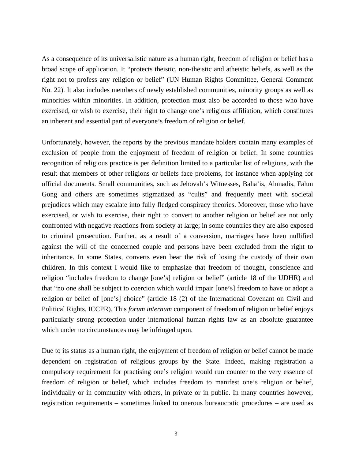As a consequence of its universalistic nature as a human right, freedom of religion or belief has a broad scope of application. It "protects theistic, non-theistic and atheistic beliefs, as well as the right not to profess any religion or belief" (UN Human Rights Committee, General Comment No. 22). It also includes members of newly established communities, minority groups as well as minorities within minorities. In addition, protection must also be accorded to those who have exercised, or wish to exercise, their right to change one's religious affiliation, which constitutes an inherent and essential part of everyone's freedom of religion or belief.

Unfortunately, however, the reports by the previous mandate holders contain many examples of exclusion of people from the enjoyment of freedom of religion or belief. In some countries recognition of religious practice is per definition limited to a particular list of religions, with the result that members of other religions or beliefs face problems, for instance when applying for official documents. Small communities, such as Jehovah's Witnesses, Baha'is, Ahmadis, Falun Gong and others are sometimes stigmatized as "cults" and frequently meet with societal prejudices which may escalate into fully fledged conspiracy theories. Moreover, those who have exercised, or wish to exercise, their right to convert to another religion or belief are not only confronted with negative reactions from society at large; in some countries they are also exposed to criminal prosecution. Further, as a result of a conversion, marriages have been nullified against the will of the concerned couple and persons have been excluded from the right to inheritance. In some States, converts even bear the risk of losing the custody of their own children. In this context I would like to emphasize that freedom of thought, conscience and religion "includes freedom to change [one's] religion or belief" (article 18 of the UDHR) and that "no one shall be subject to coercion which would impair [one's] freedom to have or adopt a religion or belief of [one's] choice" (article 18 (2) of the International Covenant on Civil and Political Rights, ICCPR). This *forum internum* component of freedom of religion or belief enjoys particularly strong protection under international human rights law as an absolute guarantee which under no circumstances may be infringed upon.

Due to its status as a human right, the enjoyment of freedom of religion or belief cannot be made dependent on registration of religious groups by the State. Indeed, making registration a compulsory requirement for practising one's religion would run counter to the very essence of freedom of religion or belief, which includes freedom to manifest one's religion or belief, individually or in community with others, in private or in public. In many countries however, registration requirements – sometimes linked to onerous bureaucratic procedures – are used as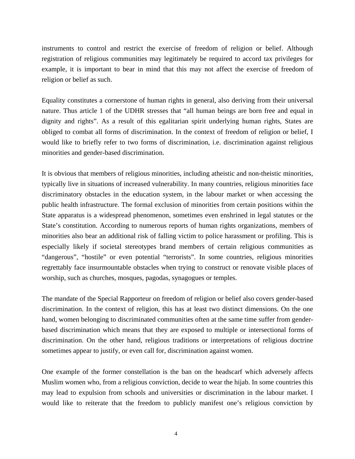instruments to control and restrict the exercise of freedom of religion or belief. Although registration of religious communities may legitimately be required to accord tax privileges for example, it is important to bear in mind that this may not affect the exercise of freedom of religion or belief as such.

Equality constitutes a cornerstone of human rights in general, also deriving from their universal nature. Thus article 1 of the UDHR stresses that "all human beings are born free and equal in dignity and rights". As a result of this egalitarian spirit underlying human rights, States are obliged to combat all forms of discrimination. In the context of freedom of religion or belief, I would like to briefly refer to two forms of discrimination, i.e. discrimination against religious minorities and gender-based discrimination.

It is obvious that members of religious minorities, including atheistic and non-theistic minorities, typically live in situations of increased vulnerability. In many countries, religious minorities face discriminatory obstacles in the education system, in the labour market or when accessing the public health infrastructure. The formal exclusion of minorities from certain positions within the State apparatus is a widespread phenomenon, sometimes even enshrined in legal statutes or the State's constitution. According to numerous reports of human rights organizations, members of minorities also bear an additional risk of falling victim to police harassment or profiling. This is especially likely if societal stereotypes brand members of certain religious communities as "dangerous", "hostile" or even potential "terrorists". In some countries, religious minorities regrettably face insurmountable obstacles when trying to construct or renovate visible places of worship, such as churches, mosques, pagodas, synagogues or temples.

The mandate of the Special Rapporteur on freedom of religion or belief also covers gender-based discrimination. In the context of religion, this has at least two distinct dimensions. On the one hand, women belonging to discriminated communities often at the same time suffer from genderbased discrimination which means that they are exposed to multiple or intersectional forms of discrimination. On the other hand, religious traditions or interpretations of religious doctrine sometimes appear to justify, or even call for, discrimination against women.

One example of the former constellation is the ban on the headscarf which adversely affects Muslim women who, from a religious conviction, decide to wear the hijab. In some countries this may lead to expulsion from schools and universities or discrimination in the labour market. I would like to reiterate that the freedom to publicly manifest one's religious conviction by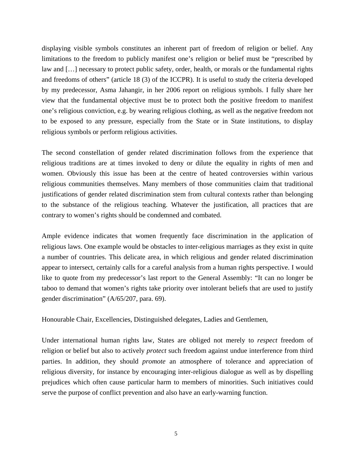displaying visible symbols constitutes an inherent part of freedom of religion or belief. Any limitations to the freedom to publicly manifest one's religion or belief must be "prescribed by law and […] necessary to protect public safety, order, health, or morals or the fundamental rights and freedoms of others" (article 18 (3) of the ICCPR). It is useful to study the criteria developed by my predecessor, Asma Jahangir, in her 2006 report on religious symbols. I fully share her view that the fundamental objective must be to protect both the positive freedom to manifest one's religious conviction, e.g. by wearing religious clothing, as well as the negative freedom not to be exposed to any pressure, especially from the State or in State institutions, to display religious symbols or perform religious activities.

The second constellation of gender related discrimination follows from the experience that religious traditions are at times invoked to deny or dilute the equality in rights of men and women. Obviously this issue has been at the centre of heated controversies within various religious communities themselves. Many members of those communities claim that traditional justifications of gender related discrimination stem from cultural contexts rather than belonging to the substance of the religious teaching. Whatever the justification, all practices that are contrary to women's rights should be condemned and combated.

Ample evidence indicates that women frequently face discrimination in the application of religious laws. One example would be obstacles to inter-religious marriages as they exist in quite a number of countries. This delicate area, in which religious and gender related discrimination appear to intersect, certainly calls for a careful analysis from a human rights perspective. I would like to quote from my predecessor's last report to the General Assembly: "It can no longer be taboo to demand that women's rights take priority over intolerant beliefs that are used to justify gender discrimination" (A/65/207, para. 69).

Honourable Chair, Excellencies, Distinguished delegates, Ladies and Gentlemen,

Under international human rights law, States are obliged not merely to *respect* freedom of religion or belief but also to actively *protect* such freedom against undue interference from third parties. In addition, they should *promote* an atmosphere of tolerance and appreciation of religious diversity, for instance by encouraging inter-religious dialogue as well as by dispelling prejudices which often cause particular harm to members of minorities. Such initiatives could serve the purpose of conflict prevention and also have an early-warning function.